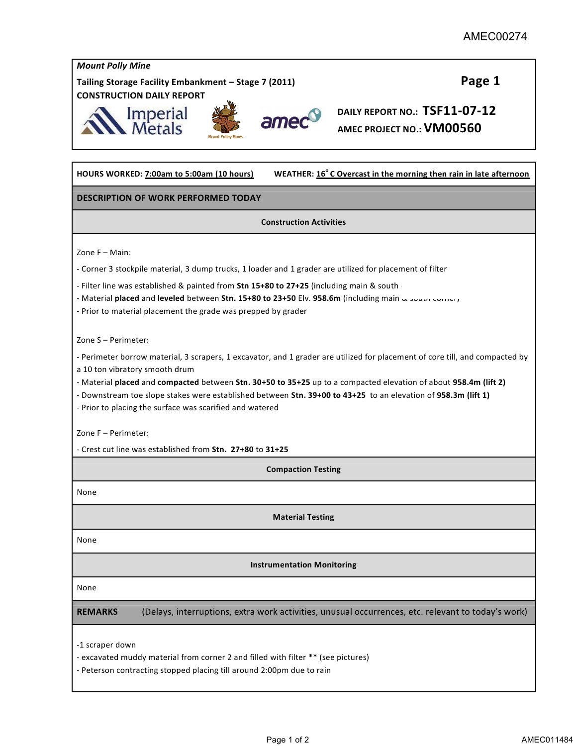| <b>Mount Polly Mine</b>                                                                                                                                                |  |  |
|------------------------------------------------------------------------------------------------------------------------------------------------------------------------|--|--|
| Page 1<br>Tailing Storage Facility Embankment - Stage 7 (2011)                                                                                                         |  |  |
| <b>CONSTRUCTION DAILY REPORT</b>                                                                                                                                       |  |  |
| DAILY REPORT NO.: TSF11-07-12<br>Imperial<br>Metals<br>amed                                                                                                            |  |  |
| AMEC PROJECT NO.: VM00560                                                                                                                                              |  |  |
| WEATHER: 16°C Overcast in the morning then rain in late afternoon<br>HOURS WORKED: 7:00am to 5:00am (10 hours)                                                         |  |  |
| <b>DESCRIPTION OF WORK PERFORMED TODAY</b>                                                                                                                             |  |  |
| <b>Construction Activities</b>                                                                                                                                         |  |  |
| Zone F - Main:                                                                                                                                                         |  |  |
| - Corner 3 stockpile material, 3 dump trucks, 1 loader and 1 grader are utilized for placement of filter                                                               |  |  |
| - Filter line was established & painted from Stn 15+80 to 27+25 (including main & south                                                                                |  |  |
| - Material placed and leveled between Stn. 15+80 to 23+50 Elv. 958.6m (including main a south conter)<br>- Prior to material placement the grade was prepped by grader |  |  |
| Zone S - Perimeter:                                                                                                                                                    |  |  |
| - Perimeter borrow material, 3 scrapers, 1 excavator, and 1 grader are utilized for placement of core till, and compacted by                                           |  |  |
| a 10 ton vibratory smooth drum<br>- Material placed and compacted between Stn. 30+50 to 35+25 up to a compacted elevation of about 958.4m (lift 2)                     |  |  |
| - Downstream toe slope stakes were established between Stn. 39+00 to 43+25 to an elevation of 958.3m (lift 1)                                                          |  |  |
| - Prior to placing the surface was scarified and watered                                                                                                               |  |  |
| Zone F - Perimeter:                                                                                                                                                    |  |  |
| - Crest cut line was established from Stn. 27+80 to 31+25                                                                                                              |  |  |
| <b>Compaction Testing</b>                                                                                                                                              |  |  |
| None                                                                                                                                                                   |  |  |
| <b>Material Testing</b>                                                                                                                                                |  |  |
| None                                                                                                                                                                   |  |  |
| <b>Instrumentation Monitoring</b>                                                                                                                                      |  |  |
| None                                                                                                                                                                   |  |  |
| (Delays, interruptions, extra work activities, unusual occurrences, etc. relevant to today's work)<br><b>REMARKS</b>                                                   |  |  |
| -1 scraper down                                                                                                                                                        |  |  |
| - excavated muddy material from corner 2 and filled with filter ** (see pictures)                                                                                      |  |  |
| - Peterson contracting stopped placing till around 2:00pm due to rain                                                                                                  |  |  |